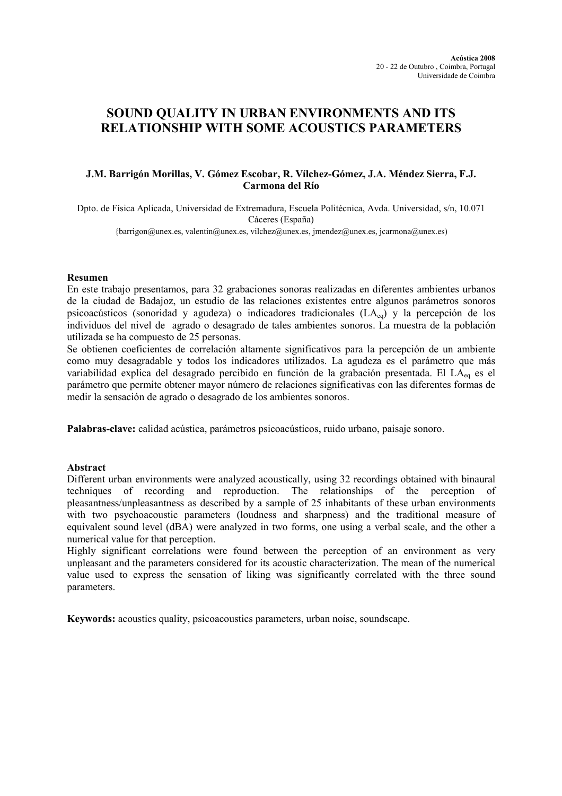# SOUND QUALITY IN URBAN ENVIRONMENTS AND ITS RELATIONSHIP WITH SOME ACOUSTICS PARAMETERS

## J.M. Barrigón Morillas, V. Gómez Escobar, R. Vílchez-Gómez, J.A. Méndez Sierra, F.J. Carmona del Río

Dpto. de Física Aplicada, Universidad de Extremadura, Escuela Politécnica, Avda. Universidad, s/n, 10.071 Cáceres (España) {barrigon@unex.es, valentin@unex.es, vilchez@unex.es, jmendez@unex.es, jcarmona@unex.es)

### Resumen

En este trabajo presentamos, para 32 grabaciones sonoras realizadas en diferentes ambientes urbanos de la ciudad de Badajoz, un estudio de las relaciones existentes entre algunos parámetros sonoros psicoacústicos (sonoridad y agudeza) o indicadores tradicionales (LA<sub>eq</sub>) y la percepción de los individuos del nivel de agrado o desagrado de tales ambientes sonoros. La muestra de la población utilizada se ha compuesto de 25 personas.

Se obtienen coeficientes de correlación altamente significativos para la percepción de un ambiente como muy desagradable y todos los indicadores utilizados. La agudeza es el parámetro que más variabilidad explica del desagrado percibido en función de la grabación presentada. El LA<sub>eq</sub> es el parámetro que permite obtener mayor número de relaciones significativas con las diferentes formas de medir la sensación de agrado o desagrado de los ambientes sonoros.

Palabras-clave: calidad acústica, parámetros psicoacústicos, ruido urbano, paisaje sonoro.

#### Abstract

Different urban environments were analyzed acoustically, using 32 recordings obtained with binaural techniques of recording and reproduction. The relationships of the perception of pleasantness/unpleasantness as described by a sample of 25 inhabitants of these urban environments with two psychoacoustic parameters (loudness and sharpness) and the traditional measure of equivalent sound level (dBA) were analyzed in two forms, one using a verbal scale, and the other a numerical value for that perception.

Highly significant correlations were found between the perception of an environment as very unpleasant and the parameters considered for its acoustic characterization. The mean of the numerical value used to express the sensation of liking was significantly correlated with the three sound parameters.

Keywords: acoustics quality, psicoacoustics parameters, urban noise, soundscape.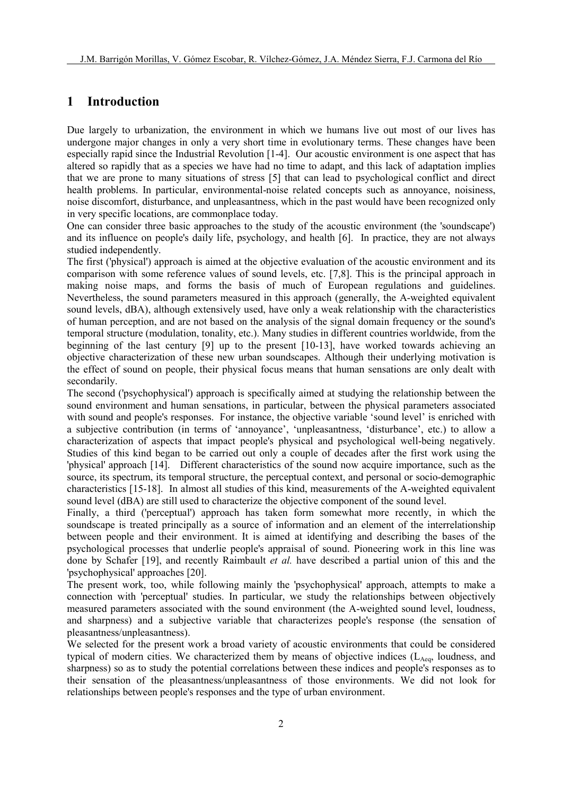# 1 Introduction

Due largely to urbanization, the environment in which we humans live out most of our lives has undergone major changes in only a very short time in evolutionary terms. These changes have been especially rapid since the Industrial Revolution [1-4]. Our acoustic environment is one aspect that has altered so rapidly that as a species we have had no time to adapt, and this lack of adaptation implies that we are prone to many situations of stress [5] that can lead to psychological conflict and direct health problems. In particular, environmental-noise related concepts such as annoyance, noisiness, noise discomfort, disturbance, and unpleasantness, which in the past would have been recognized only in very specific locations, are commonplace today.

One can consider three basic approaches to the study of the acoustic environment (the 'soundscape') and its influence on people's daily life, psychology, and health [6]. In practice, they are not always studied independently.

The first ('physical') approach is aimed at the objective evaluation of the acoustic environment and its comparison with some reference values of sound levels, etc. [7,8]. This is the principal approach in making noise maps, and forms the basis of much of European regulations and guidelines. Nevertheless, the sound parameters measured in this approach (generally, the A-weighted equivalent sound levels, dBA), although extensively used, have only a weak relationship with the characteristics of human perception, and are not based on the analysis of the signal domain frequency or the sound's temporal structure (modulation, tonality, etc.). Many studies in different countries worldwide, from the beginning of the last century [9] up to the present [10-13], have worked towards achieving an objective characterization of these new urban soundscapes. Although their underlying motivation is the effect of sound on people, their physical focus means that human sensations are only dealt with secondarily.

The second ('psychophysical') approach is specifically aimed at studying the relationship between the sound environment and human sensations, in particular, between the physical parameters associated with sound and people's responses. For instance, the objective variable 'sound level' is enriched with a subjective contribution (in terms of 'annoyance', 'unpleasantness, 'disturbance', etc.) to allow a characterization of aspects that impact people's physical and psychological well-being negatively. Studies of this kind began to be carried out only a couple of decades after the first work using the 'physical' approach [14]. Different characteristics of the sound now acquire importance, such as the source, its spectrum, its temporal structure, the perceptual context, and personal or socio-demographic characteristics [15-18]. In almost all studies of this kind, measurements of the A-weighted equivalent sound level (dBA) are still used to characterize the objective component of the sound level.

Finally, a third ('perceptual') approach has taken form somewhat more recently, in which the soundscape is treated principally as a source of information and an element of the interrelationship between people and their environment. It is aimed at identifying and describing the bases of the psychological processes that underlie people's appraisal of sound. Pioneering work in this line was done by Schafer [19], and recently Raimbault et al. have described a partial union of this and the 'psychophysical' approaches [20].

The present work, too, while following mainly the 'psychophysical' approach, attempts to make a connection with 'perceptual' studies. In particular, we study the relationships between objectively measured parameters associated with the sound environment (the A-weighted sound level, loudness, and sharpness) and a subjective variable that characterizes people's response (the sensation of pleasantness/unpleasantness).

We selected for the present work a broad variety of acoustic environments that could be considered typical of modern cities. We characterized them by means of objective indices  $(L<sub>Aea</sub>,$  loudness, and sharpness) so as to study the potential correlations between these indices and people's responses as to their sensation of the pleasantness/unpleasantness of those environments. We did not look for relationships between people's responses and the type of urban environment.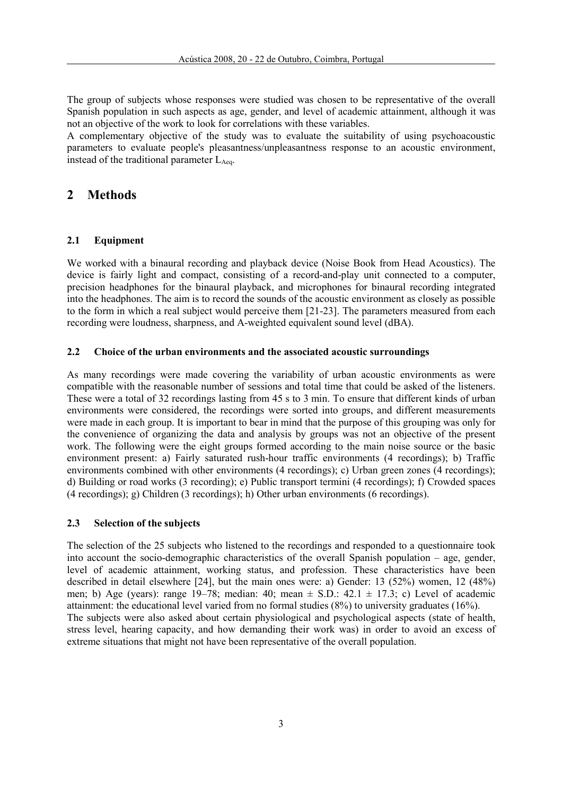The group of subjects whose responses were studied was chosen to be representative of the overall Spanish population in such aspects as age, gender, and level of academic attainment, although it was not an objective of the work to look for correlations with these variables.

A complementary objective of the study was to evaluate the suitability of using psychoacoustic parameters to evaluate people's pleasantness/unpleasantness response to an acoustic environment, instead of the traditional parameter  $L_{Aeq}$ .

## 2 Methods

#### 2.1 Equipment

We worked with a binaural recording and playback device (Noise Book from Head Acoustics). The device is fairly light and compact, consisting of a record-and-play unit connected to a computer, precision headphones for the binaural playback, and microphones for binaural recording integrated into the headphones. The aim is to record the sounds of the acoustic environment as closely as possible to the form in which a real subject would perceive them [21-23]. The parameters measured from each recording were loudness, sharpness, and A-weighted equivalent sound level (dBA).

## 2.2 Choice of the urban environments and the associated acoustic surroundings

As many recordings were made covering the variability of urban acoustic environments as were compatible with the reasonable number of sessions and total time that could be asked of the listeners. These were a total of 32 recordings lasting from 45 s to 3 min. To ensure that different kinds of urban environments were considered, the recordings were sorted into groups, and different measurements were made in each group. It is important to bear in mind that the purpose of this grouping was only for the convenience of organizing the data and analysis by groups was not an objective of the present work. The following were the eight groups formed according to the main noise source or the basic environment present: a) Fairly saturated rush-hour traffic environments (4 recordings); b) Traffic environments combined with other environments (4 recordings); c) Urban green zones (4 recordings); d) Building or road works (3 recording); e) Public transport termini (4 recordings); f) Crowded spaces (4 recordings); g) Children (3 recordings); h) Other urban environments (6 recordings).

#### 2.3 Selection of the subjects

The selection of the 25 subjects who listened to the recordings and responded to a questionnaire took into account the socio-demographic characteristics of the overall Spanish population – age, gender, level of academic attainment, working status, and profession. These characteristics have been described in detail elsewhere [24], but the main ones were: a) Gender: 13 (52%) women, 12 (48%) men; b) Age (years): range 19–78; median: 40; mean  $\pm$  S.D.: 42.1  $\pm$  17.3; c) Level of academic attainment: the educational level varied from no formal studies (8%) to university graduates (16%). The subjects were also asked about certain physiological and psychological aspects (state of health, stress level, hearing capacity, and how demanding their work was) in order to avoid an excess of extreme situations that might not have been representative of the overall population.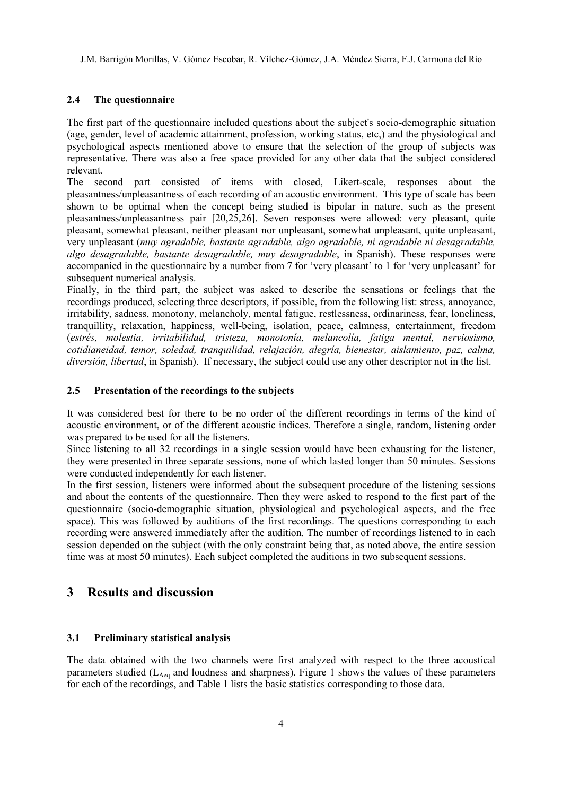## 2.4 The questionnaire

The first part of the questionnaire included questions about the subject's socio-demographic situation (age, gender, level of academic attainment, profession, working status, etc,) and the physiological and psychological aspects mentioned above to ensure that the selection of the group of subjects was representative. There was also a free space provided for any other data that the subject considered relevant.

The second part consisted of items with closed, Likert-scale, responses about the pleasantness/unpleasantness of each recording of an acoustic environment. This type of scale has been shown to be optimal when the concept being studied is bipolar in nature, such as the present pleasantness/unpleasantness pair [20,25,26]. Seven responses were allowed: very pleasant, quite pleasant, somewhat pleasant, neither pleasant nor unpleasant, somewhat unpleasant, quite unpleasant, very unpleasant (muy agradable, bastante agradable, algo agradable, ni agradable ni desagradable, algo desagradable, bastante desagradable, muy desagradable, in Spanish). These responses were accompanied in the questionnaire by a number from 7 for 'very pleasant' to 1 for 'very unpleasant' for subsequent numerical analysis.

Finally, in the third part, the subject was asked to describe the sensations or feelings that the recordings produced, selecting three descriptors, if possible, from the following list: stress, annoyance, irritability, sadness, monotony, melancholy, mental fatigue, restlessness, ordinariness, fear, loneliness, tranquillity, relaxation, happiness, well-being, isolation, peace, calmness, entertainment, freedom (estrés, molestia, irritabilidad, tristeza, monotonía, melancolía, fatiga mental, nerviosismo, cotidianeidad, temor, soledad, tranquilidad, relajación, alegría, bienestar, aislamiento, paz, calma, diversión, libertad, in Spanish). If necessary, the subject could use any other descriptor not in the list.

## 2.5 Presentation of the recordings to the subjects

It was considered best for there to be no order of the different recordings in terms of the kind of acoustic environment, or of the different acoustic indices. Therefore a single, random, listening order was prepared to be used for all the listeners.

Since listening to all 32 recordings in a single session would have been exhausting for the listener, they were presented in three separate sessions, none of which lasted longer than 50 minutes. Sessions were conducted independently for each listener.

In the first session, listeners were informed about the subsequent procedure of the listening sessions and about the contents of the questionnaire. Then they were asked to respond to the first part of the questionnaire (socio-demographic situation, physiological and psychological aspects, and the free space). This was followed by auditions of the first recordings. The questions corresponding to each recording were answered immediately after the audition. The number of recordings listened to in each session depended on the subject (with the only constraint being that, as noted above, the entire session time was at most 50 minutes). Each subject completed the auditions in two subsequent sessions.

## 3 Results and discussion

## 3.1 Preliminary statistical analysis

The data obtained with the two channels were first analyzed with respect to the three acoustical parameters studied ( $L_{Aeq}$  and loudness and sharpness). Figure 1 shows the values of these parameters for each of the recordings, and Table 1 lists the basic statistics corresponding to those data.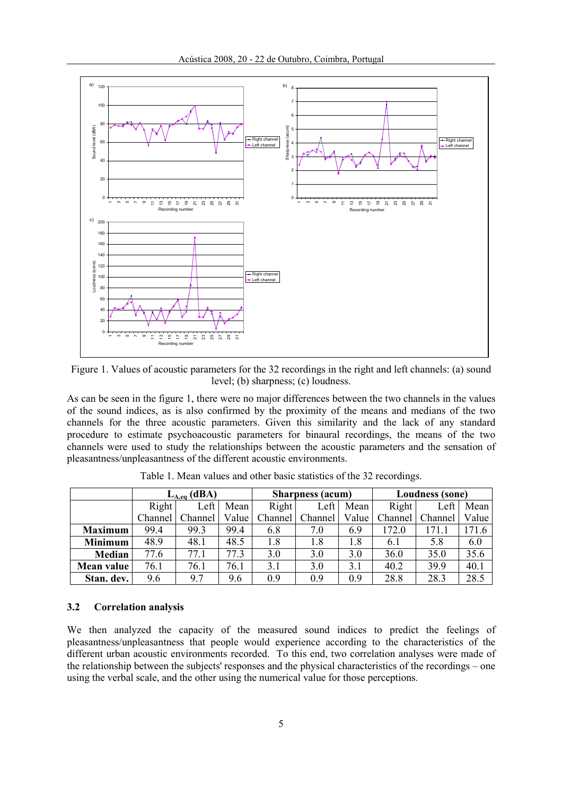

Figure 1. Values of acoustic parameters for the 32 recordings in the right and left channels: (a) sound level; (b) sharpness; (c) loudness.

As can be seen in the figure 1, there were no major differences between the two channels in the values of the sound indices, as is also confirmed by the proximity of the means and medians of the two channels for the three acoustic parameters. Given this similarity and the lack of any standard procedure to estimate psychoacoustic parameters for binaural recordings, the means of the two channels were used to study the relationships between the acoustic parameters and the sensation of pleasantness/unpleasantness of the different acoustic environments.

|                | $L_{A,eq}$ (dBA) |         |       | <b>Sharpness</b> (acum) |         |       | <b>Loudness (sone)</b> |         |       |
|----------------|------------------|---------|-------|-------------------------|---------|-------|------------------------|---------|-------|
|                | Right            | Left    | Mean  | Right                   | Left    | Mean  | <b>Right</b>           | Left    | Mean  |
|                | Channel          | Channel | Value | Channel                 | Channel | Value | Channel                | Channel | Value |
| <b>Maximum</b> | 99.4             | 99.3    | 99.4  | 6.8                     | 7.0     | 6.9   | 172.0                  | 171.1   | 171.6 |
| <b>Minimum</b> | 48.9             | 48.1    | 48.5  | 1.8                     | 1.8     | 1.8   | 6.1                    | 5.8     | 6.0   |
| <b>Median</b>  | 77.6             | 77.1    | 77.3  | 3.0                     | 3.0     | 3.0   | 36.0                   | 35.0    | 35.6  |
| Mean value     | 76.1             | 76.1    | 76.1  | 3.1                     | 3.0     | 3.1   | 40.2                   | 39.9    | 40.1  |
| Stan. dev.     | 9.6              | 97      | 9.6   | 09                      | 0.9     | 0.9   | 28.8                   | 28.3    | 28.5  |

Table 1. Mean values and other basic statistics of the 32 recordings.

#### 3.2 Correlation analysis

We then analyzed the capacity of the measured sound indices to predict the feelings of pleasantness/unpleasantness that people would experience according to the characteristics of the different urban acoustic environments recorded. To this end, two correlation analyses were made of the relationship between the subjects' responses and the physical characteristics of the recordings – one using the verbal scale, and the other using the numerical value for those perceptions.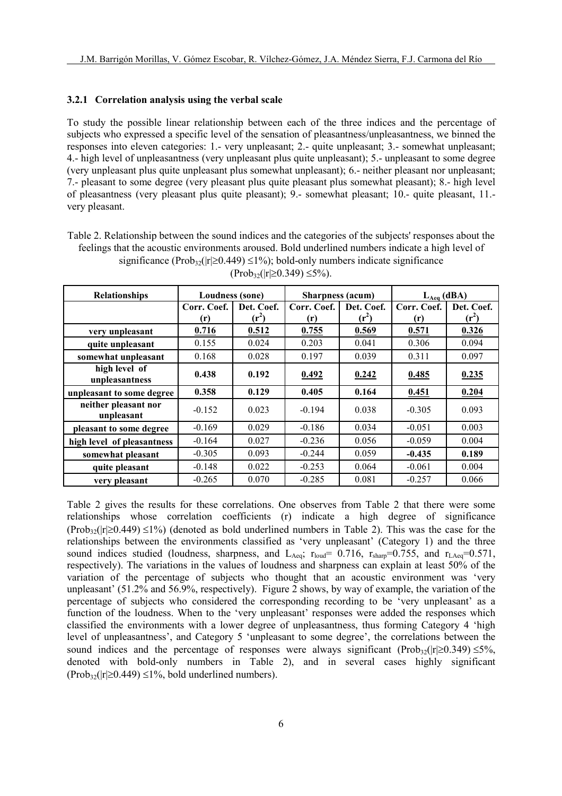#### 3.2.1 Correlation analysis using the verbal scale

To study the possible linear relationship between each of the three indices and the percentage of subjects who expressed a specific level of the sensation of pleasantness/unpleasantness, we binned the responses into eleven categories: 1.- very unpleasant; 2.- quite unpleasant; 3.- somewhat unpleasant; 4.- high level of unpleasantness (very unpleasant plus quite unpleasant); 5.- unpleasant to some degree (very unpleasant plus quite unpleasant plus somewhat unpleasant); 6.- neither pleasant nor unpleasant; 7.- pleasant to some degree (very pleasant plus quite pleasant plus somewhat pleasant); 8.- high level of pleasantness (very pleasant plus quite pleasant); 9.- somewhat pleasant; 10.- quite pleasant, 11. very pleasant.

Table 2. Relationship between the sound indices and the categories of the subjects' responses about the feelings that the acoustic environments aroused. Bold underlined numbers indicate a high level of significance (Prob<sub>32</sub>( $|r| \ge 0.449$ ) ≤1%); bold-only numbers indicate significance

| <b>Relationships</b>               | Loudness (sone) |            | <b>Sharpness</b> (acum) |            | $L_{Aeq}$ (dBA) |            |  |
|------------------------------------|-----------------|------------|-------------------------|------------|-----------------|------------|--|
|                                    | Corr. Coef.     | Det. Coef. | Corr. Coef.             | Det. Coef. | Corr. Coef.     | Det. Coef. |  |
|                                    | (r)             | $(r^2)$    | (r)                     | $(r^2)$    | (r)             | $(r^2)$    |  |
| very unpleasant                    | 0.716           | 0.512      | 0.755                   | 0.569      | 0.571           | 0.326      |  |
| quite unpleasant                   | 0.155           | 0.024      | 0.203                   | 0.041      | 0.306           | 0.094      |  |
| somewhat unpleasant                | 0.168           | 0.028      | 0.197                   | 0.039      | 0.311           | 0.097      |  |
| high level of<br>unpleasantness    | 0.438           | 0.192      | 0.492                   | 0.242      | 0.485           | 0.235      |  |
| unpleasant to some degree          | 0.358           | 0.129      | 0.405                   | 0.164      | 0.451           | 0.204      |  |
| neither pleasant nor<br>unpleasant | $-0.152$        | 0.023      | $-0.194$                | 0.038      | $-0.305$        | 0.093      |  |
| pleasant to some degree            | $-0.169$        | 0.029      | $-0.186$                | 0.034      | $-0.051$        | 0.003      |  |
| high level of pleasantness         | $-0.164$        | 0.027      | $-0.236$                | 0.056      | $-0.059$        | 0.004      |  |
| somewhat pleasant                  | $-0.305$        | 0.093      | $-0.244$                | 0.059      | $-0.435$        | 0.189      |  |
| quite pleasant                     | $-0.148$        | 0.022      | $-0.253$                | 0.064      | $-0.061$        | 0.004      |  |
| very pleasant                      | $-0.265$        | 0.070      | $-0.285$                | 0.081      | $-0.257$        | 0.066      |  |

 $(Prob_{32}(|r| \ge 0.349) \le 5\%)$ .

Table 2 gives the results for these correlations. One observes from Table 2 that there were some relationships whose correlation coefficients (r) indicate a high degree of significance  $(Prob_{32}(|r| \ge 0.449) \le 1\%)$  (denoted as bold underlined numbers in Table 2). This was the case for the relationships between the environments classified as 'very unpleasant' (Category 1) and the three sound indices studied (loudness, sharpness, and  $L_{Aeq}$ ;  $r_{load} = 0.716$ ,  $r_{sharp}=0.755$ , and  $r_{LAeq}=0.571$ , respectively). The variations in the values of loudness and sharpness can explain at least 50% of the variation of the percentage of subjects who thought that an acoustic environment was 'very unpleasant' (51.2% and 56.9%, respectively). Figure 2 shows, by way of example, the variation of the percentage of subjects who considered the corresponding recording to be 'very unpleasant' as a function of the loudness. When to the 'very unpleasant' responses were added the responses which classified the environments with a lower degree of unpleasantness, thus forming Category 4 'high level of unpleasantness', and Category 5 'unpleasant to some degree', the correlations between the sound indices and the percentage of responses were always significant (Prob<sub>32</sub>( $|r| \ge 0.349$ ) ≤5%, denoted with bold-only numbers in Table 2), and in several cases highly significant  $(Prob_{32}(|r| \ge 0.449) \le 1\%$ , bold underlined numbers).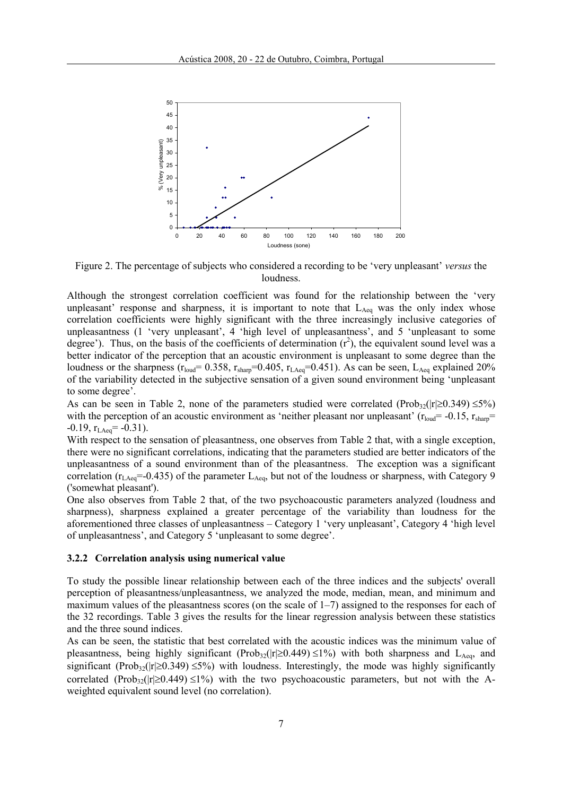

Figure 2. The percentage of subjects who considered a recording to be 'very unpleasant' versus the loudness.

Although the strongest correlation coefficient was found for the relationship between the 'very unpleasant' response and sharpness, it is important to note that  $L_{Aeq}$  was the only index whose correlation coefficients were highly significant with the three increasingly inclusive categories of unpleasantness (1 'very unpleasant', 4 'high level of unpleasantness', and 5 'unpleasant to some degree'). Thus, on the basis of the coefficients of determination  $(r^2)$ , the equivalent sound level was a better indicator of the perception that an acoustic environment is unpleasant to some degree than the loudness or the sharpness  $(r_{\text{load}} = 0.358, r_{\text{sharp}} = 0.405, r_{\text{LAge}} = 0.451)$ . As can be seen, L<sub>Aeq</sub> explained 20% of the variability detected in the subjective sensation of a given sound environment being 'unpleasant to some degree'.

As can be seen in Table 2, none of the parameters studied were correlated (Prob<sub>32</sub>( $|r| \ge 0.349$ ) ≤5%) with the perception of an acoustic environment as 'neither pleasant nor unpleasant' ( $r_{\text{load}}$  = -0.15,  $r_{\text{sharp}}$  =  $-0.19$ ,  $r_{LAeq} = -0.31$ ).

With respect to the sensation of pleasantness, one observes from Table 2 that, with a single exception, there were no significant correlations, indicating that the parameters studied are better indicators of the unpleasantness of a sound environment than of the pleasantness. The exception was a significant correlation ( $r_{\text{LAeq}}$ =-0.435) of the parameter  $L_{\text{Aeq}}$ , but not of the loudness or sharpness, with Category 9 ('somewhat pleasant').

One also observes from Table 2 that, of the two psychoacoustic parameters analyzed (loudness and sharpness), sharpness explained a greater percentage of the variability than loudness for the aforementioned three classes of unpleasantness – Category 1 'very unpleasant', Category 4 'high level of unpleasantness', and Category 5 'unpleasant to some degree'.

#### 3.2.2 Correlation analysis using numerical value

To study the possible linear relationship between each of the three indices and the subjects' overall perception of pleasantness/unpleasantness, we analyzed the mode, median, mean, and minimum and maximum values of the pleasantness scores (on the scale of  $1-7$ ) assigned to the responses for each of the 32 recordings. Table 3 gives the results for the linear regression analysis between these statistics and the three sound indices.

As can be seen, the statistic that best correlated with the acoustic indices was the minimum value of pleasantness, being highly significant (Prob<sub>32</sub>( $|r| \ge 0.449$ ) ≤1%) with both sharpness and L<sub>Aeq</sub>, and significant (Prob<sub>32</sub>( $|r| \ge 0.349$ ) ≤5%) with loudness. Interestingly, the mode was highly significantly correlated (Prob<sub>32</sub>(|r|≥0.449) ≤1%) with the two psychoacoustic parameters, but not with the Aweighted equivalent sound level (no correlation).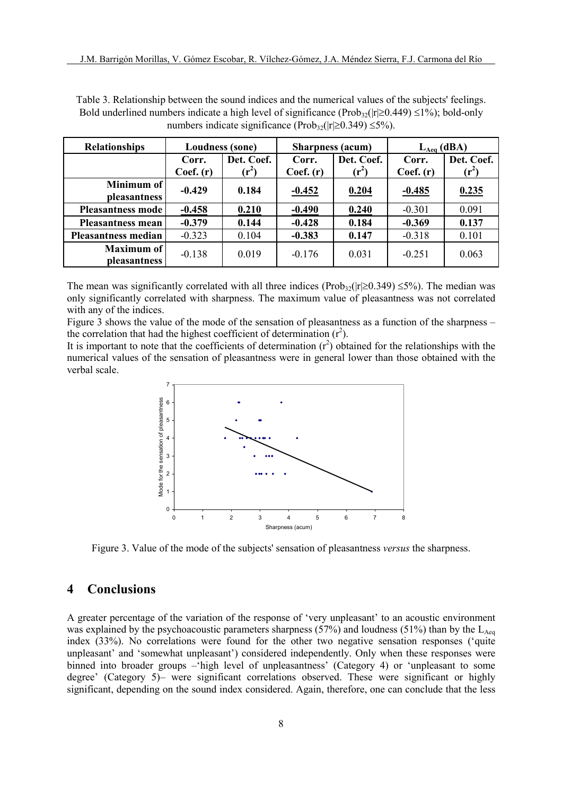| <b>Relationships</b>       | <b>Loudness (sone)</b> |                       |                    | <b>Sharpness</b> (acum)     | $L_{Aeq}$ (dBA)    |                       |  |
|----------------------------|------------------------|-----------------------|--------------------|-----------------------------|--------------------|-----------------------|--|
|                            | Corr.<br>Coef. (r)     | Det. Coef.<br>$(r^2)$ | Corr.<br>Coef. (r) | Det. Coef.<br>$({\bf r}^2)$ | Corr.<br>Coef. (r) | Det. Coef.<br>$(r^2)$ |  |
| Minimum of<br>pleasantness | $-0.429$               | 0.184                 | $-0.452$           | 0.204                       | $-0.485$           | 0.235                 |  |
| <b>Pleasantness mode</b>   | $-0.458$               | 0.210                 | $-0.490$           | 0.240                       | $-0.301$           | 0.091                 |  |
| <b>Pleasantness mean</b>   | $-0.379$               | 0.144                 | $-0.428$           | 0.184                       | $-0.369$           | 0.137                 |  |
| <b>Pleasantness median</b> | $-0.323$               | 0.104                 | $-0.383$           | 0.147                       | $-0.318$           | 0.101                 |  |
| Maximum of<br>pleasantness | $-0.138$               | 0.019                 | $-0.176$           | 0.031                       | $-0.251$           | 0.063                 |  |

Table 3. Relationship between the sound indices and the numerical values of the subjects' feelings. Bold underlined numbers indicate a high level of significance (Prob<sub>32</sub>( $|r| \ge 0.449$ ) ≤1%); bold-only numbers indicate significance (Prob<sub>32</sub>( $|r| \ge 0.349$ ) ≤5%).

The mean was significantly correlated with all three indices (Prob<sub>32</sub>( $|r| \ge 0.349$ ) ≤5%). The median was only significantly correlated with sharpness. The maximum value of pleasantness was not correlated with any of the indices.

Figure 3 shows the value of the mode of the sensation of pleasantness as a function of the sharpness – the correlation that had the highest coefficient of determination  $(r^2)$ .

It is important to note that the coefficients of determination  $(r^2)$  obtained for the relationships with the numerical values of the sensation of pleasantness were in general lower than those obtained with the verbal scale.



Figure 3. Value of the mode of the subjects' sensation of pleasantness versus the sharpness.

# 4 Conclusions

A greater percentage of the variation of the response of 'very unpleasant' to an acoustic environment was explained by the psychoacoustic parameters sharpness (57%) and loudness (51%) than by the  $L_{Aea}$ index (33%). No correlations were found for the other two negative sensation responses ('quite unpleasant' and 'somewhat unpleasant') considered independently. Only when these responses were binned into broader groups –'high level of unpleasantness' (Category 4) or 'unpleasant to some degree' (Category 5)– were significant correlations observed. These were significant or highly significant, depending on the sound index considered. Again, therefore, one can conclude that the less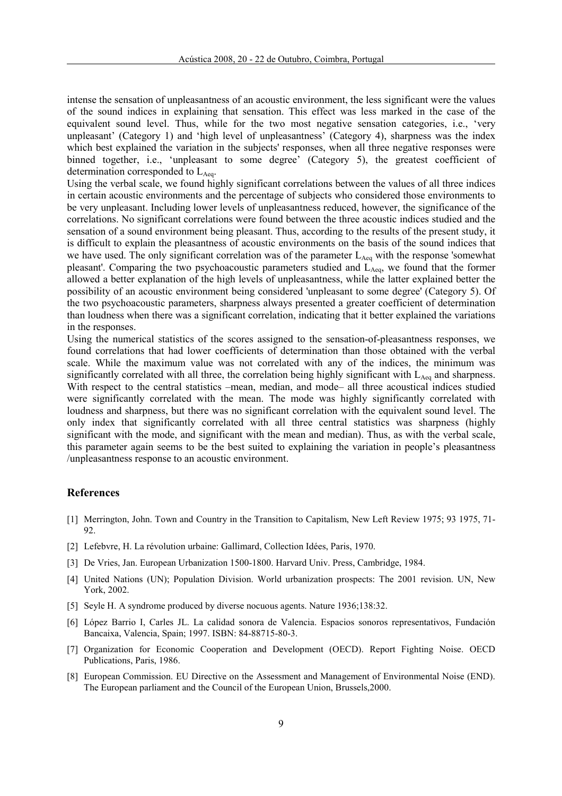intense the sensation of unpleasantness of an acoustic environment, the less significant were the values of the sound indices in explaining that sensation. This effect was less marked in the case of the equivalent sound level. Thus, while for the two most negative sensation categories, i.e., 'very unpleasant' (Category 1) and 'high level of unpleasantness' (Category 4), sharpness was the index which best explained the variation in the subjects' responses, when all three negative responses were binned together, i.e., 'unpleasant to some degree' (Category 5), the greatest coefficient of determination corresponded to  $L_{\text{Aeg}}$ .

Using the verbal scale, we found highly significant correlations between the values of all three indices in certain acoustic environments and the percentage of subjects who considered those environments to be very unpleasant. Including lower levels of unpleasantness reduced, however, the significance of the correlations. No significant correlations were found between the three acoustic indices studied and the sensation of a sound environment being pleasant. Thus, according to the results of the present study, it is difficult to explain the pleasantness of acoustic environments on the basis of the sound indices that we have used. The only significant correlation was of the parameter  $L_{Aeq}$  with the response 'somewhat pleasant'. Comparing the two psychoacoustic parameters studied and L<sub>Aeq</sub>, we found that the former allowed a better explanation of the high levels of unpleasantness, while the latter explained better the possibility of an acoustic environment being considered 'unpleasant to some degree' (Category 5). Of the two psychoacoustic parameters, sharpness always presented a greater coefficient of determination than loudness when there was a significant correlation, indicating that it better explained the variations in the responses.

Using the numerical statistics of the scores assigned to the sensation-of-pleasantness responses, we found correlations that had lower coefficients of determination than those obtained with the verbal scale. While the maximum value was not correlated with any of the indices, the minimum was significantly correlated with all three, the correlation being highly significant with  $L_{Aeq}$  and sharpness. With respect to the central statistics –mean, median, and mode– all three acoustical indices studied were significantly correlated with the mean. The mode was highly significantly correlated with loudness and sharpness, but there was no significant correlation with the equivalent sound level. The only index that significantly correlated with all three central statistics was sharpness (highly significant with the mode, and significant with the mean and median). Thus, as with the verbal scale, this parameter again seems to be the best suited to explaining the variation in people's pleasantness /unpleasantness response to an acoustic environment.

#### References

- [1] Merrington, John. Town and Country in the Transition to Capitalism, New Left Review 1975; 93 1975, 71- 92.
- [2] Lefebvre, H. La révolution urbaine: Gallimard, Collection Idées, Paris, 1970.
- [3] De Vries, Jan. European Urbanization 1500-1800. Harvard Univ. Press, Cambridge, 1984.
- [4] United Nations (UN); Population Division. World urbanization prospects: The 2001 revision. UN, New York, 2002.
- [5] Seyle H. A syndrome produced by diverse nocuous agents. Nature 1936;138:32.
- [6] López Barrio I, Carles JL. La calidad sonora de Valencia. Espacios sonoros representativos, Fundación Bancaixa, Valencia, Spain; 1997. ISBN: 84-88715-80-3.
- [7] Organization for Economic Cooperation and Development (OECD). Report Fighting Noise. OECD Publications, Paris, 1986.
- [8] European Commission. EU Directive on the Assessment and Management of Environmental Noise (END). The European parliament and the Council of the European Union, Brussels,2000.